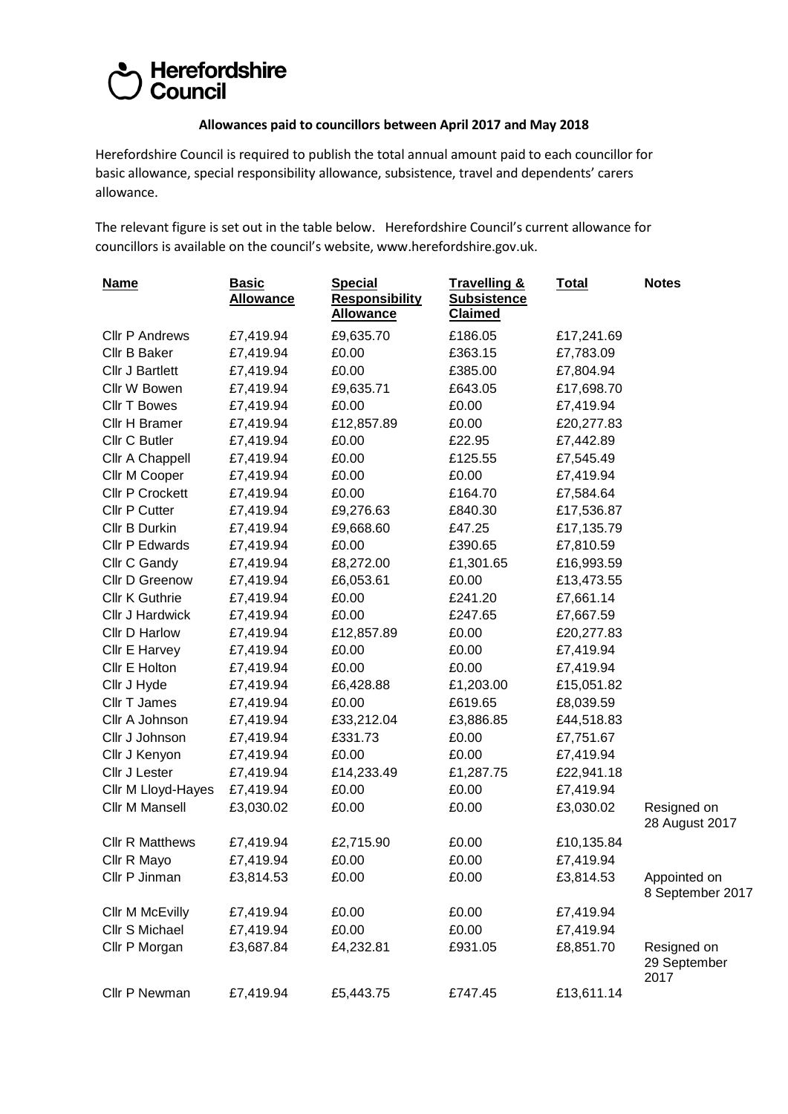## Council<br>Council

## **Allowances paid to councillors between April 2017 and May 2018**

Herefordshire Council is required to publish the total annual amount paid to each councillor for basic allowance, special responsibility allowance, subsistence, travel and dependents' carers allowance.

The relevant figure is set out in the table below. Herefordshire Council's current allowance for councillors is available on the council's website, [www.herefordshire.gov.uk.](http://www.herefordshire.gov.uk/)

| <b>Name</b>            | <b>Basic</b><br><b>Allowance</b> | <b>Special</b><br><b>Responsibility</b><br><b>Allowance</b> | <b>Travelling &amp;</b><br><b>Subsistence</b><br><b>Claimed</b> | <b>Total</b> | <b>Notes</b>                        |
|------------------------|----------------------------------|-------------------------------------------------------------|-----------------------------------------------------------------|--------------|-------------------------------------|
| <b>Cllr P Andrews</b>  | £7,419.94                        | £9,635.70                                                   | £186.05                                                         | £17,241.69   |                                     |
| Cllr B Baker           | £7,419.94                        | £0.00                                                       | £363.15                                                         | £7,783.09    |                                     |
| Cllr J Bartlett        | £7,419.94                        | £0.00                                                       | £385.00                                                         | £7,804.94    |                                     |
| Cllr W Bowen           | £7,419.94                        | £9,635.71                                                   | £643.05                                                         | £17,698.70   |                                     |
| <b>Cllr T Bowes</b>    | £7,419.94                        | £0.00                                                       | £0.00                                                           | £7,419.94    |                                     |
| Cllr H Bramer          | £7,419.94                        | £12,857.89                                                  | £0.00                                                           | £20,277.83   |                                     |
| Cllr C Butler          | £7,419.94                        | £0.00                                                       | £22.95                                                          | £7,442.89    |                                     |
| Cllr A Chappell        | £7,419.94                        | £0.00                                                       | £125.55                                                         | £7,545.49    |                                     |
| Cllr M Cooper          | £7,419.94                        | £0.00                                                       | £0.00                                                           | £7,419.94    |                                     |
| <b>Cllr P Crockett</b> | £7,419.94                        | £0.00                                                       | £164.70                                                         | £7,584.64    |                                     |
| <b>Cllr P Cutter</b>   | £7,419.94                        | £9,276.63                                                   | £840.30                                                         | £17,536.87   |                                     |
| Cllr B Durkin          | £7,419.94                        | £9,668.60                                                   | £47.25                                                          | £17,135.79   |                                     |
| Cllr P Edwards         | £7,419.94                        | £0.00                                                       | £390.65                                                         | £7,810.59    |                                     |
| Cllr C Gandy           | £7,419.94                        | £8,272.00                                                   | £1,301.65                                                       | £16,993.59   |                                     |
| Cllr D Greenow         | £7,419.94                        | £6,053.61                                                   | £0.00                                                           | £13,473.55   |                                     |
| Cllr K Guthrie         | £7,419.94                        | £0.00                                                       | £241.20                                                         | £7,661.14    |                                     |
| Cllr J Hardwick        | £7,419.94                        | £0.00                                                       | £247.65                                                         | £7,667.59    |                                     |
| Cllr D Harlow          | £7,419.94                        | £12,857.89                                                  | £0.00                                                           | £20,277.83   |                                     |
| Cllr E Harvey          | £7,419.94                        | £0.00                                                       | £0.00                                                           | £7,419.94    |                                     |
| Cllr E Holton          | £7,419.94                        | £0.00                                                       | £0.00                                                           | £7,419.94    |                                     |
| Cllr J Hyde            | £7,419.94                        | £6,428.88                                                   | £1,203.00                                                       | £15,051.82   |                                     |
| Cllr T James           | £7,419.94                        | £0.00                                                       | £619.65                                                         | £8,039.59    |                                     |
| Cllr A Johnson         | £7,419.94                        | £33,212.04                                                  | £3,886.85                                                       | £44,518.83   |                                     |
| Cllr J Johnson         | £7,419.94                        | £331.73                                                     | £0.00                                                           | £7,751.67    |                                     |
| Cllr J Kenyon          | £7,419.94                        | £0.00                                                       | £0.00                                                           | £7,419.94    |                                     |
| Cllr J Lester          | £7,419.94                        | £14,233.49                                                  | £1,287.75                                                       | £22,941.18   |                                     |
| Cllr M Lloyd-Hayes     | £7,419.94                        | £0.00                                                       | £0.00                                                           | £7,419.94    |                                     |
| Cllr M Mansell         | £3,030.02                        | £0.00                                                       | £0.00                                                           | £3,030.02    | Resigned on<br>28 August 2017       |
| <b>Cllr R Matthews</b> | £7,419.94                        | £2,715.90                                                   | £0.00                                                           | £10,135.84   |                                     |
| Cllr R Mayo            | £7,419.94                        | £0.00                                                       | £0.00                                                           | £7,419.94    |                                     |
| Cllr P Jinman          | £3,814.53                        | £0.00                                                       | £0.00                                                           | £3,814.53    | Appointed on<br>8 September 2017    |
| Cllr M McEvilly        | £7,419.94                        | £0.00                                                       | £0.00                                                           | £7,419.94    |                                     |
| Cllr S Michael         | £7,419.94                        | £0.00                                                       | £0.00                                                           | £7,419.94    |                                     |
| Cllr P Morgan          | £3,687.84                        | £4,232.81                                                   | £931.05                                                         | £8,851.70    | Resigned on<br>29 September<br>2017 |
| Cllr P Newman          | £7,419.94                        | £5,443.75                                                   | £747.45                                                         | £13,611.14   |                                     |